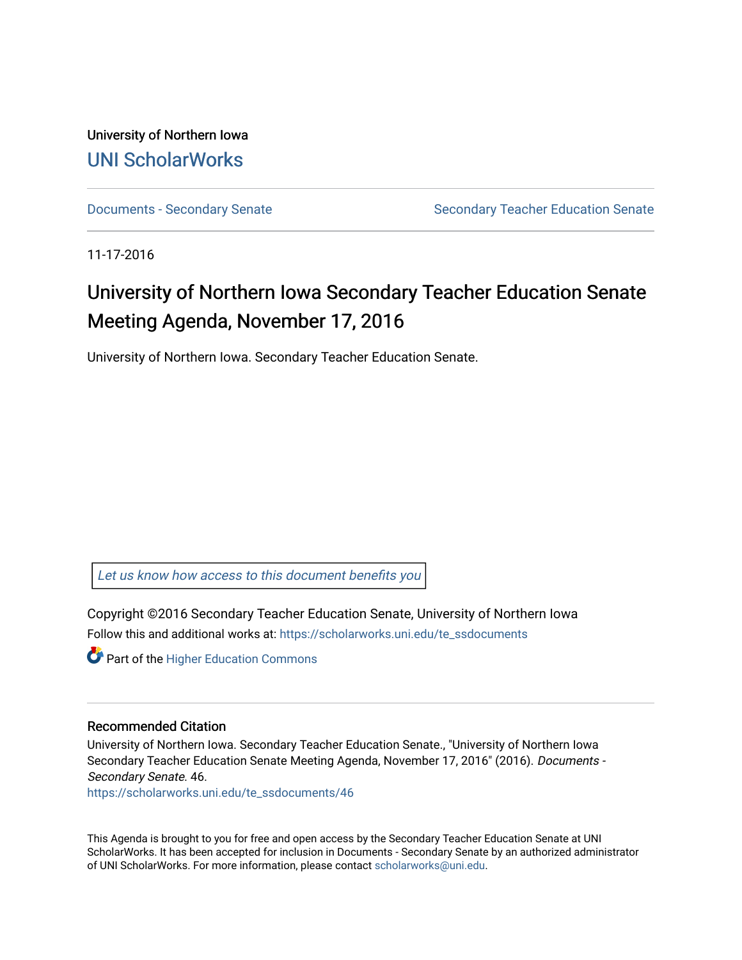University of Northern Iowa [UNI ScholarWorks](https://scholarworks.uni.edu/) 

[Documents - Secondary Senate](https://scholarworks.uni.edu/te_ssdocuments) Senate Secondary Teacher Education Senate

11-17-2016

## University of Northern Iowa Secondary Teacher Education Senate Meeting Agenda, November 17, 2016

University of Northern Iowa. Secondary Teacher Education Senate.

[Let us know how access to this document benefits you](https://scholarworks.uni.edu/feedback_form.html) 

Copyright ©2016 Secondary Teacher Education Senate, University of Northern Iowa Follow this and additional works at: [https://scholarworks.uni.edu/te\\_ssdocuments](https://scholarworks.uni.edu/te_ssdocuments?utm_source=scholarworks.uni.edu%2Fte_ssdocuments%2F46&utm_medium=PDF&utm_campaign=PDFCoverPages) 

**Part of the Higher Education Commons** 

## Recommended Citation

University of Northern Iowa. Secondary Teacher Education Senate., "University of Northern Iowa Secondary Teacher Education Senate Meeting Agenda, November 17, 2016" (2016). Documents - Secondary Senate. 46.

[https://scholarworks.uni.edu/te\\_ssdocuments/46](https://scholarworks.uni.edu/te_ssdocuments/46?utm_source=scholarworks.uni.edu%2Fte_ssdocuments%2F46&utm_medium=PDF&utm_campaign=PDFCoverPages)

This Agenda is brought to you for free and open access by the Secondary Teacher Education Senate at UNI ScholarWorks. It has been accepted for inclusion in Documents - Secondary Senate by an authorized administrator of UNI ScholarWorks. For more information, please contact [scholarworks@uni.edu](mailto:scholarworks@uni.edu).